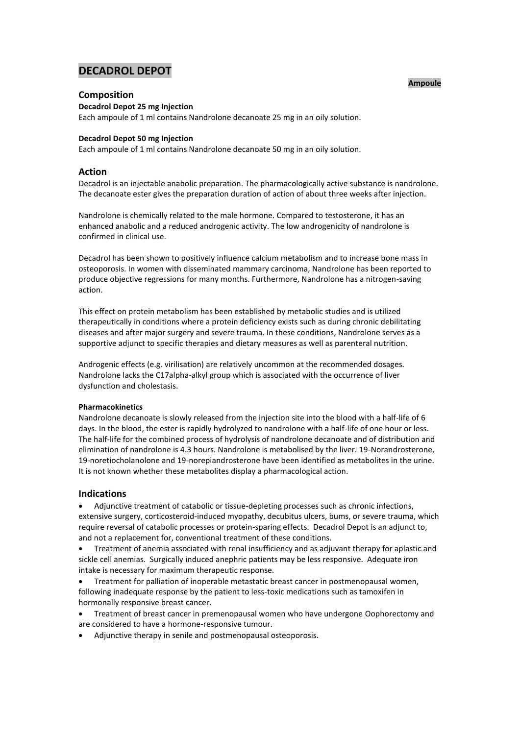# **DECADROL DEPOT**

# **Ampoule**

# **Composition**

**Decadrol Depot 25 mg Injection**

Each ampoule of 1 ml contains Nandrolone decanoate 25 mg in an oily solution.

# **Decadrol Depot 50 mg Injection**

Each ampoule of 1 ml contains Nandrolone decanoate 50 mg in an oily solution.

# **Action**

Decadrol is an injectable anabolic preparation. The pharmacologically active substance is nandrolone. The decanoate ester gives the preparation duration of action of about three weeks after injection.

Nandrolone is chemically related to the male hormone. Compared to testosterone, it has an enhanced anabolic and a reduced androgenic activity. The low androgenicity of nandrolone is confirmed in clinical use.

Decadrol has been shown to positively influence calcium metabolism and to increase bone mass in osteoporosis. In women with disseminated mammary carcinoma, Nandrolone has been reported to produce objective regressions for many months. Furthermore, Nandrolone has a nitrogen-saving action.

This effect on protein metabolism has been established by metabolic studies and is utilized therapeutically in conditions where a protein deficiency exists such as during chronic debilitating diseases and after major surgery and severe trauma. In these conditions, Nandrolone serves as a supportive adjunct to specific therapies and dietary measures as well as parenteral nutrition.

Androgenic effects (e.g. virilisation) are relatively uncommon at the recommended dosages. Nandrolone lacks the C17alpha-alkyl group which is associated with the occurrence of liver dysfunction and cholestasis.

# **Pharmacokinetics**

Nandrolone decanoate is slowly released from the injection site into the blood with a half-life of 6 days. In the blood, the ester is rapidly hydrolyzed to nandrolone with a half-life of one hour or less. The half-life for the combined process of hydrolysis of nandrolone decanoate and of distribution and elimination of nandrolone is 4.3 hours. Nandrolone is metabolised by the liver. 19-Norandrosterone, 19-noretiocholanolone and 19-norepiandrosterone have been identified as metabolites in the urine. It is not known whether these metabolites display a pharmacological action.

# **Indications**

 Adjunctive treatment of catabolic or tissue-depleting processes such as chronic infections, extensive surgery, corticosteroid-induced myopathy, decubitus ulcers, bums, or severe trauma, which require reversal of catabolic processes or protein-sparing effects. Decadrol Depot is an adjunct to, and not a replacement for, conventional treatment of these conditions.

 Treatment of anemia associated with renal insufficiency and as adjuvant therapy for aplastic and sickle cell anemias. Surgically induced anephric patients may be less responsive. Adequate iron intake is necessary for maximum therapeutic response.

 Treatment for palliation of inoperable metastatic breast cancer in postmenopausal women, following inadequate response by the patient to less-toxic medications such as tamoxifen in hormonally responsive breast cancer.

- Treatment of breast cancer in premenopausal women who have undergone Oophorectomy and are considered to have a hormone-responsive tumour.
- Adjunctive therapy in senile and postmenopausal osteoporosis.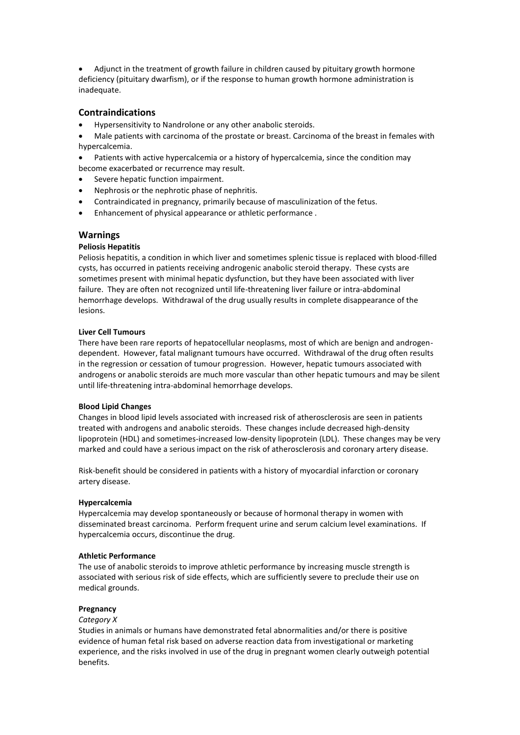Adjunct in the treatment of growth failure in children caused by pituitary growth hormone deficiency (pituitary dwarfism), or if the response to human growth hormone administration is inadequate.

# **Contraindications**

- Hypersensitivity to Nandrolone or any other anabolic steroids.
- Male patients with carcinoma of the prostate or breast. Carcinoma of the breast in females with hypercalcemia.
- Patients with active hypercalcemia or a history of hypercalcemia, since the condition may become exacerbated or recurrence may result.
- Severe hepatic function impairment.
- Nephrosis or the nephrotic phase of nephritis.
- Contraindicated in pregnancy, primarily because of masculinization of the fetus.
- Enhancement of physical appearance or athletic performance .

# **Warnings**

# **Peliosis Hepatitis**

Peliosis hepatitis, a condition in which liver and sometimes splenic tissue is replaced with blood-filled cysts, has occurred in patients receiving androgenic anabolic steroid therapy. These cysts are sometimes present with minimal hepatic dysfunction, but they have been associated with liver failure. They are often not recognized until life-threatening liver failure or intra-abdominal hemorrhage develops. Withdrawal of the drug usually results in complete disappearance of the lesions.

# **Liver Cell Tumours**

There have been rare reports of hepatocellular neoplasms, most of which are benign and androgendependent. However, fatal malignant tumours have occurred. Withdrawal of the drug often results in the regression or cessation of tumour progression. However, hepatic tumours associated with androgens or anabolic steroids are much more vascular than other hepatic tumours and may be silent until life-threatening intra-abdominal hemorrhage develops.

# **Blood Lipid Changes**

Changes in blood lipid levels associated with increased risk of atherosclerosis are seen in patients treated with androgens and anabolic steroids. These changes include decreased high-density lipoprotein (HDL) and sometimes-increased low-density lipoprotein (LDL). These changes may be very marked and could have a serious impact on the risk of atherosclerosis and coronary artery disease.

Risk-benefit should be considered in patients with a history of myocardial infarction or coronary artery disease.

# **Hypercalcemia**

Hypercalcemia may develop spontaneously or because of hormonal therapy in women with disseminated breast carcinoma. Perform frequent urine and serum calcium level examinations. If hypercalcemia occurs, discontinue the drug.

#### **Athletic Performance**

The use of anabolic steroids to improve athletic performance by increasing muscle strength is associated with serious risk of side effects, which are sufficiently severe to preclude their use on medical grounds.

# **Pregnancy**

# *Category X*

Studies in animals or humans have demonstrated fetal abnormalities and/or there is positive evidence of human fetal risk based on adverse reaction data from investigational or marketing experience, and the risks involved in use of the drug in pregnant women clearly outweigh potential benefits.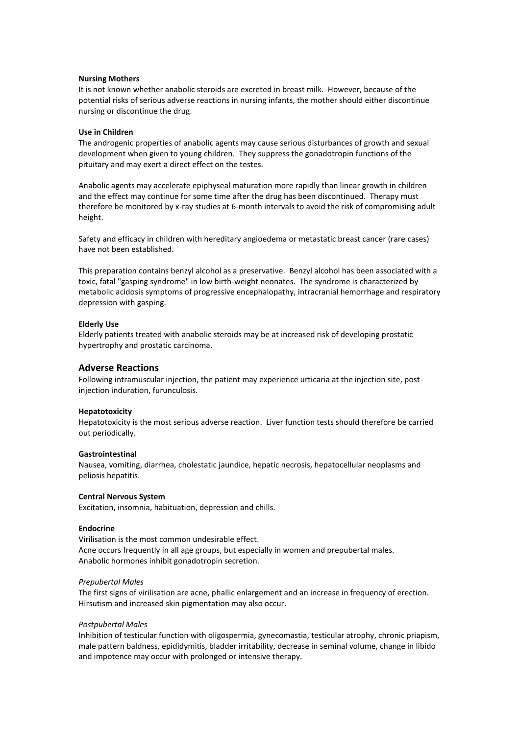### **Nursing Mothers**

It is not known whether anabolic steroids are excreted in breast milk. However, because of the potential risks of serious adverse reactions in nursing infants, the mother should either discontinue nursing or discontinue the drug.

#### **Use in Children**

The androgenic properties of anabolic agents may cause serious disturbances of growth and sexual development when given to young children. They suppress the gonadotropin functions of the pituitary and may exert a direct effect on the testes.

Anabolic agents may accelerate epiphyseal maturation more rapidly than linear growth in children and the effect may continue for some time after the drug has been discontinued. Therapy must therefore be monitored by x-ray studies at 6-month intervals to avoid the risk of compromising adult height.

Safety and efficacy in children with hereditary angioedema or metastatic breast cancer (rare cases) have not been established.

This preparation contains benzyl alcohol as a preservative. Benzyl alcohol has been associated with a toxic, fatal "gasping syndrome" in low birth-weight neonates. The syndrome is characterized by metabolic acidosis symptoms of progressive encephalopathy, intracranial hemorrhage and respiratory depression with gasping.

### **Elderly Use**

Elderly patients treated with anabolic steroids may be at increased risk of developing prostatic hypertrophy and prostatic carcinoma.

# **Adverse Reactions**

Following intramuscular injection, the patient may experience urticaria at the injection site, postinjection induration, furunculosis.

#### **Hepatotoxicity**

Hepatotoxicity is the most serious adverse reaction. Liver function tests should therefore be carried out periodically.

#### **Gastrointestinal**

Nausea, vomiting, diarrhea, cholestatic jaundice, hepatic necrosis, hepatocellular neoplasms and peliosis hepatitis.

#### **Central Nervous System**

Excitation, insomnia, habituation, depression and chills.

#### **Endocrine**

Virilisation is the most common undesirable effect. Acne occurs frequently in all age groups, but especially in women and prepubertal males. Anabolic hormones inhibit gonadotropin secretion.

#### *Prepubertal Males*

The first signs of virilisation are acne, phallic enlargement and an increase in frequency of erection. Hirsutism and increased skin pigmentation may also occur.

#### *Postpubertal Males*

Inhibition of testicular function with oligospermia, gynecomastia, testicular atrophy, chronic priapism, male pattern baldness, epididymitis, bladder irritability, decrease in seminal volume, change in libido and impotence may occur with prolonged or intensive therapy.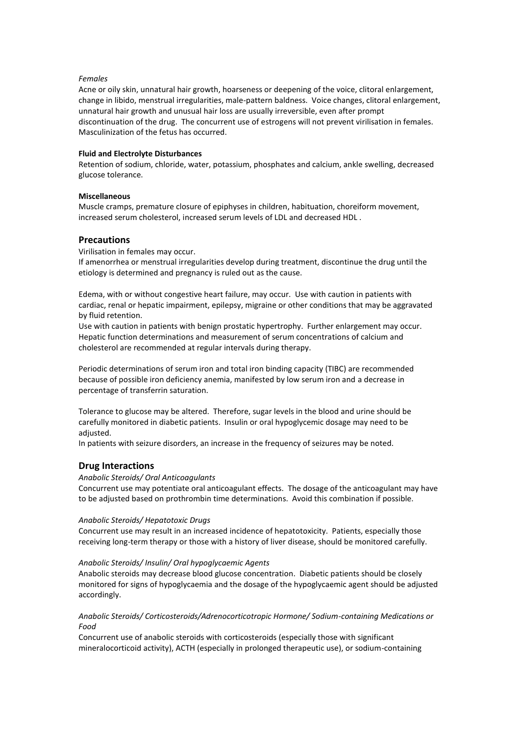# *Females*

Acne or oily skin, unnatural hair growth, hoarseness or deepening of the voice, clitoral enlargement, change in libido, menstrual irregularities, male-pattern baldness. Voice changes, clitoral enlargement, unnatural hair growth and unusual hair loss are usually irreversible, even after prompt discontinuation of the drug. The concurrent use of estrogens will not prevent virilisation in females. Masculinization of the fetus has occurred.

# **Fluid and Electrolyte Disturbances**

Retention of sodium, chloride, water, potassium, phosphates and calcium, ankle swelling, decreased glucose tolerance.

# **Miscellaneous**

Muscle cramps, premature closure of epiphyses in children, habituation, choreiform movement, increased serum cholesterol, increased serum levels of LDL and decreased HDL .

# **Precautions**

Virilisation in females may occur.

If amenorrhea or menstrual irregularities develop during treatment, discontinue the drug until the etiology is determined and pregnancy is ruled out as the cause.

Edema, with or without congestive heart failure, may occur. Use with caution in patients with cardiac, renal or hepatic impairment, epilepsy, migraine or other conditions that may be aggravated by fluid retention.

Use with caution in patients with benign prostatic hypertrophy. Further enlargement may occur. Hepatic function determinations and measurement of serum concentrations of calcium and cholesterol are recommended at regular intervals during therapy.

Periodic determinations of serum iron and total iron binding capacity (TIBC) are recommended because of possible iron deficiency anemia, manifested by low serum iron and a decrease in percentage of transferrin saturation.

Tolerance to glucose may be altered. Therefore, sugar levels in the blood and urine should be carefully monitored in diabetic patients. Insulin or oral hypoglycemic dosage may need to be adjusted.

In patients with seizure disorders, an increase in the frequency of seizures may be noted.

# **Drug Interactions**

# *Anabolic Steroids/ Oral Anticoagulants*

Concurrent use may potentiate oral anticoagulant effects. The dosage of the anticoagulant may have to be adjusted based on prothrombin time determinations. Avoid this combination if possible.

# *Anabolic Steroids/ Hepatotoxic Drugs*

Concurrent use may result in an increased incidence of hepatotoxicity. Patients, especially those receiving long-term therapy or those with a history of liver disease, should be monitored carefully.

# *Anabolic Steroids/ Insulin/ Oral hypoglycaemic Agents*

Anabolic steroids may decrease blood glucose concentration. Diabetic patients should be closely monitored for signs of hypoglycaemia and the dosage of the hypoglycaemic agent should be adjusted accordingly.

# *Anabolic Steroids/ Corticosteroids/Adrenocorticotropic Hormone/ Sodium-containing Medications or Food*

Concurrent use of anabolic steroids with corticosteroids (especially those with significant mineralocorticoid activity), ACTH (especially in prolonged therapeutic use), or sodium-containing